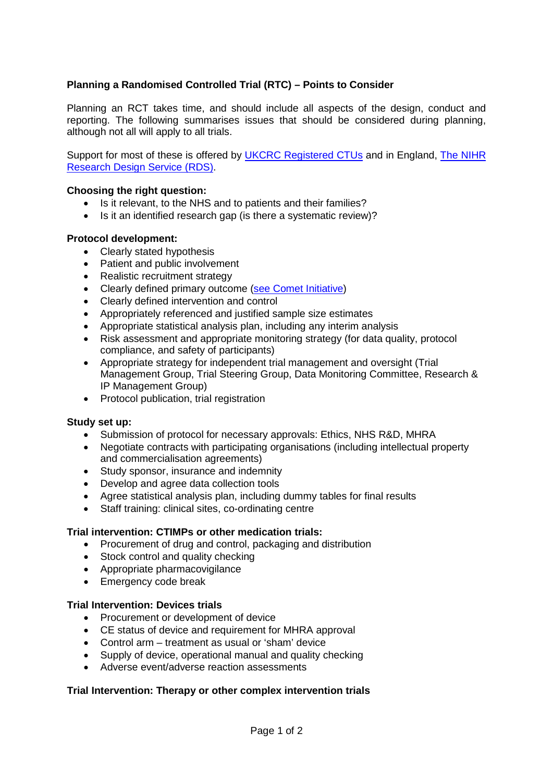# **Planning a Randomised Controlled Trial (RTC) – Points to Consider**

Planning an RCT takes time, and should include all aspects of the design, conduct and reporting. The following summarises issues that should be considered during planning, although not all will apply to all trials.

Support for most of these is offered by [UKCRC Registered CTUs](http://www.ukcrc-ctu.org.uk/) and in England, [The NIHR](http://www.rds.nihr.ac.uk/)  [Research Design Service \(RDS\).](http://www.rds.nihr.ac.uk/)

## **Choosing the right question:**

- Is it relevant, to the NHS and to patients and their families?
- Is it an identified research gap (is there a systematic review)?

## **Protocol development:**

- Clearly stated hypothesis
- Patient and public involvement
- Realistic recruitment strategy
- Clearly defined primary outcome [\(see Comet](http://www.comet-initiative.org/) Initiative)
- Clearly defined intervention and control
- Appropriately referenced and justified sample size estimates
- Appropriate statistical analysis plan, including any interim analysis
- Risk assessment and appropriate monitoring strategy (for data quality, protocol compliance, and safety of participants)
- Appropriate strategy for independent trial management and oversight (Trial Management Group, Trial Steering Group, Data Monitoring Committee, Research & IP Management Group)
- Protocol publication, trial registration

## **Study set up:**

- Submission of protocol for necessary approvals: Ethics, NHS R&D, MHRA
- Negotiate contracts with participating organisations (including intellectual property and commercialisation agreements)
- Study sponsor, insurance and indemnity
- Develop and agree data collection tools
- Agree statistical analysis plan, including dummy tables for final results
- Staff training: clinical sites, co-ordinating centre

#### **Trial intervention: CTIMPs or other medication trials:**

- Procurement of drug and control, packaging and distribution
- Stock control and quality checking
- Appropriate pharmacovigilance
- Emergency code break

## **Trial Intervention: Devices trials**

- Procurement or development of device
- CE status of device and requirement for MHRA approval
- Control arm treatment as usual or 'sham' device
- Supply of device, operational manual and quality checking
- Adverse event/adverse reaction assessments

## **Trial Intervention: Therapy or other complex intervention trials**